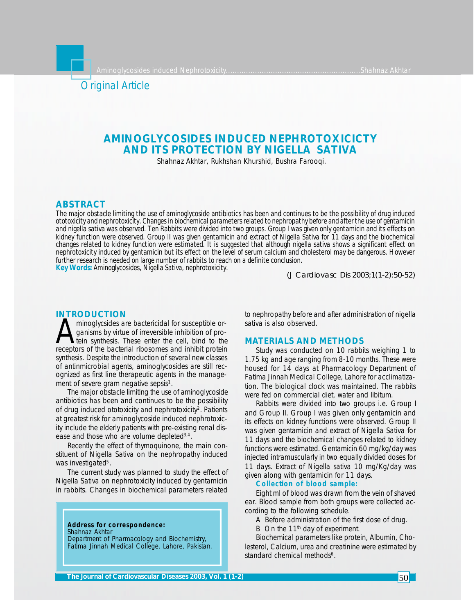Aminoglycosides induced Nephrotoxicity............................................................Shahnaz Akhtar



# **AMINOGLYCOSIDES INDUCED NEPHROTOXICICTY AND ITS PROTECTION BY NIGELLA SATIVA**

Shahnaz Akhtar, Rukhshan Khurshid, Bushra Farooqi.

## **ABSTRACT**

*The major obstacle limiting the use of aminoglycoside antibiotics has been and continues to be the possibility of drug induced ototoxicity and nephrotoxicity. Changes in biochemical parameters related to nephropathy before and after the use of gentamicin and nigella sativa was observed. Ten Rabbits were divided into two groups. Group I was given only gentamicin and its effects on kidney function were observed. Group II was given gentamicin and extract of Nigella Sativa for 11 days and the biochemical changes related to kidney function were estimated. It is suggested that although nigella sativa shows a significant effect on nephrotoxicity induced by gentamicin but its effect on the level of serum calcium and cholesterol may be dangerous. However further research is needed on large number of rabbits to reach on a definite conclusion. Key Words: Aminoglycosides, Nigella Sativa, nephrotoxicity.*

*(J Cardiovasc Dis 2003;1(1-2):50-52)*

### **INTRODUCTION**

minoglycsides are bactericidal for susceptible or-<br>ganisms by virtue of irreversible inhibition of pro-<br>tein synthesis. These enter the cell, bind to the<br>receptors of the bacterial ribosomes and inhibit protein minoglycsides are bactericidal for susceptible organisms by virtue of irreversible inhibition of protein synthesis. These enter the cell, bind to the synthesis. Despite the introduction of several new classes of antinmicrobial agents, aminoglycosides are still recognized as first line therapeutic agents in the management of severe gram negative sepsis<sup>1</sup>.

The major obstacle limiting the use of aminoglycoside antibiotics has been and continues to be the possibility of drug induced ototoxicity and nephrotoxicity<sup>2</sup>. Patients at greatest risk for aminoglycoside induced nephrotoxicity include the elderly patients with pre-existing renal disease and those who are volume depleted<sup>3,4</sup>.

Recently the effect of thymoquinone, the main constituent of Nigella Sativa on the nephropathy induced was investigated<sup>5</sup>.

The current study was planned to study the effect of Nigella Sativa on nephrotoxicity induced by gentamicin in rabbits. Changes in biochemical parameters related

**Address for correspondence:** Shahnaz Akhtar Department of Pharmacology and Biochemistry, Fatima Jinnah Medical College, Lahore, Pakistan. to nephropathy before and after administration of nigella sativa is also observed.

## **MATERIALS AND METHODS**

Study was conducted on 10 rabbits weighing 1 to 1.75 kg and age ranging from 8-10 months. These were housed for 14 days at Pharmacology Department of Fatima Jinnah Medical College, Lahore for acclimatization. The biological clock was maintained. The rabbits were fed on commercial diet, water and libitum.

Rabbits were divided into two groups i.e. Group I and Group II. Group I was given only gentamicin and its effects on kidney functions were observed. Group II was given gentamicin and extract of Nigella Sativa for 11 days and the biochemical changes related to kidney functions were estimated. Gentamicin 60 mg/kg/day was injected intramuscularly in two equally divided doses for 11 days. Extract of Nigella sativa 10 mg/Kg/day was given along with gentamicin for 11 days.

# **Collection of blood sample:**

Eight ml of blood was drawn from the vein of shaved ear. Blood sample from both groups were collected according to the following schedule.

- A Before administration of the first dose of drug.
- B On the  $11<sup>th</sup>$  day of experiment.

Biochemical parameters like protein, Albumin, Cholesterol, Calcium, urea and creatinine were estimated by standard chemical methods<sup>6</sup>.

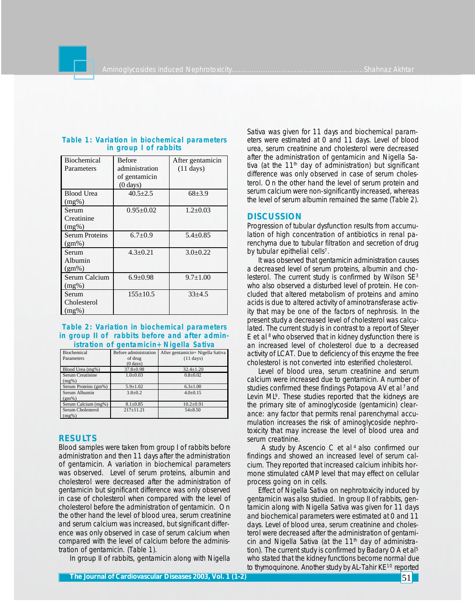| <b>Biochemical</b><br>Parameters  | <b>Before</b><br>administration<br>of gentamicin<br>$(0 \text{ days})$ | After gentamicin<br>$(11 \text{ days})$ |
|-----------------------------------|------------------------------------------------------------------------|-----------------------------------------|
| <b>Blood Urea</b><br>$(mg\%)$     | $40.5 + 2.5$                                                           | $68 + 3.9$                              |
| Serum<br>Creatinine<br>$(mg\%)$   | $0.95 \pm 0.02$                                                        | $1.2 \pm 0.03$                          |
| <b>Serum Proteins</b><br>$(gm\%)$ | $6.7 \pm 0.9$                                                          | $5.4 \pm 0.85$                          |
| Serum<br>Albumin<br>$(gm\%)$      | $4.3 \pm 0.21$                                                         | $3.0+0.22$                              |
| Serum Calcium<br>$(mg\%)$         | $6.9 \pm 0.98$                                                         | $9.7 \pm 1.00$                          |
| Serum<br>Cholesterol<br>$(mg\%)$  | $155 \pm 10.5$                                                         | $33 + 4.5$                              |

#### **Table 1: Variation in biochemical parameters in group I of rabbits**

**Table 2: Variation in biochemical parameters in group II of rabbits before and after administration of gentamicin+Nigella Sativa**

| Biochemical          | Before administration | After gentamicin+ Nigella Sativa |
|----------------------|-----------------------|----------------------------------|
|                      |                       |                                  |
| Parameters           | of drug               | $(11 \text{ days})$              |
|                      | $(0 \text{ days})$    |                                  |
| Blood Urea (mg%)     | $37.8 \pm 0.98$       | $32.4 \pm 1.20$                  |
| Serum Creatinine     | $1.0 \pm 0.03$        | $0.8 + 0.02$                     |
| (mg%)                |                       |                                  |
| Serum Proteins (gm%) | $5.9 \pm 1.02$        | $6.3 \pm 1.00$                   |
| Serum Albumin        | $3.8 \pm 0.2$         | $4.0 \pm 0.15$                   |
| $(gm\%)$             |                       |                                  |
| Serum Calcium (mg%)  | $8.1 \pm 0.85$        | $10.2 \pm 0.91$                  |
| Serum Cholesterol    | $217 \pm 11.21$       | $54 \pm 8.50$                    |
| (mg%)                |                       |                                  |

## **RESULTS**

Blood samples were taken from group I of rabbits before administration and then 11 days after the administration of gentamicin. A variation in biochemical parameters was observed. Level of serum proteins, albumin and cholesterol were decreased after the administration of gentamicin but significant difference was only observed in case of cholesterol when compared with the level of cholesterol before the administration of gentamicin. On the other hand the level of blood urea, serum creatinine and serum calcium was increased, but significant difference was only observed in case of serum calcium when compared with the level of calcium before the administration of gentamicin. (Table 1).

In group II of rabbits, gentamicin along with Nigella

Sativa was given for 11 days and biochemical parameters were estimated at 0 and 11 days. Level of blood urea, serum creatinine and cholesterol were decreased after the administration of gentamicin and Nigella Sativa (at the  $11<sup>th</sup>$  day of administration) but significant difference was only observed in case of serum cholesterol. On the other hand the level of serum protein and serum calcium were non-significantly increased, whereas the level of serum albumin remained the same (Table 2).

## **DISCUSSION**

Progression of tubular dysfunction results from accumulation of high concentration of antibiotics in renal parenchyma due to tubular filtration and secretion of drug by tubular epithelial cells<sup>7</sup>.

It was observed that gentamicin administration causes a decreased level of serum proteins, albumin and cholesterol. The current study is confirmed by Wilson SE<sup>3</sup> who also observed a disturbed level of protein. He concluded that altered metabolism of proteins and amino acids is due to altered activity of aminotransferase activity that may be one of the factors of nephrosis. In the present study a decreased level of cholesterol was calculated. The current study is in contrast to a report of Steyer E et al  $8$  who observed that in kidney dysfunction there is an increased level of cholesterol due to a decreased activity of LCAT. Due to deficiency of this enzyme the free cholesterol is not converted into esterified cholesterol.

Level of blood urea, serum creatinine and serum calcium were increased due to gentamicin. A number of studies confirmed these findings Potapova AV et al<sup>7</sup> and Levin ML<sup>9</sup>. These studies reported that the kidneys are the primary site of aminoglycoside (gentamicin) clearance: any factor that permits renal parenchymal accumulation increases the risk of aminoglycoside nephrotoxicity that may increase the level of blood urea and serum creatinine.

 A study by Ascencio C et al 4 also confirmed our findings and showed an increased level of serum calcium. They reported that increased calcium inhibits hormone stimulated cAMP level that may effect on cellular process going on in cells.

Effect of Nigella Sativa on nephrotoxicity induced by gentamicin was also studied. In group II of rabbits, gentamicin along with Nigella Sativa was given for 11 days and biochemical parameters were estimated at 0 and 11 days. Level of blood urea, serum creatinine and cholesterol were decreased after the administration of gentamicin and Nigella Sativa (at the  $11<sup>th</sup>$  day of administration). The current study is confirmed by Badary OA et al<sup>5</sup> who stated that the kidney functions become normal due to thymoquinone. Another study by AL-Tahir KE<sup>10</sup> reported